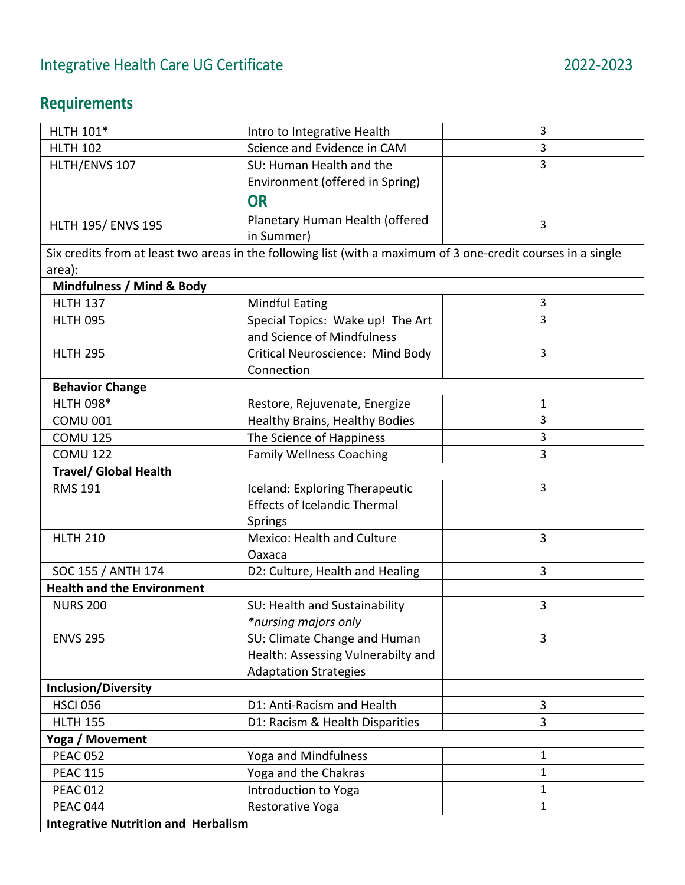## **Requirements**

| <b>HLTH 101*</b>                                                                                              | Intro to Integrative Health         | 3              |  |
|---------------------------------------------------------------------------------------------------------------|-------------------------------------|----------------|--|
| <b>HLTH 102</b>                                                                                               | Science and Evidence in CAM         | 3              |  |
| HLTH/ENVS 107                                                                                                 | SU: Human Health and the            | 3              |  |
|                                                                                                               | Environment (offered in Spring)     |                |  |
|                                                                                                               | <b>OR</b>                           |                |  |
| <b>HLTH 195/ ENVS 195</b>                                                                                     | Planetary Human Health (offered     | 3              |  |
|                                                                                                               | in Summer)                          |                |  |
| Six credits from at least two areas in the following list (with a maximum of 3 one-credit courses in a single |                                     |                |  |
| area):                                                                                                        |                                     |                |  |
| Mindfulness / Mind & Body                                                                                     |                                     |                |  |
| <b>HLTH 137</b>                                                                                               | <b>Mindful Eating</b>               | 3              |  |
| <b>HLTH 095</b>                                                                                               | Special Topics: Wake up! The Art    | $\overline{3}$ |  |
|                                                                                                               | and Science of Mindfulness          |                |  |
| <b>HLTH 295</b>                                                                                               | Critical Neuroscience: Mind Body    | $\overline{3}$ |  |
|                                                                                                               | Connection                          |                |  |
| <b>Behavior Change</b>                                                                                        |                                     |                |  |
| <b>HLTH 098*</b>                                                                                              | Restore, Rejuvenate, Energize       | $\mathbf{1}$   |  |
| <b>COMU 001</b>                                                                                               | Healthy Brains, Healthy Bodies      | 3              |  |
| <b>COMU 125</b>                                                                                               | The Science of Happiness            | $\overline{3}$ |  |
| <b>COMU 122</b>                                                                                               | <b>Family Wellness Coaching</b>     | 3              |  |
| <b>Travel/ Global Health</b>                                                                                  |                                     |                |  |
| <b>RMS 191</b>                                                                                                | Iceland: Exploring Therapeutic      | 3              |  |
|                                                                                                               | <b>Effects of Icelandic Thermal</b> |                |  |
|                                                                                                               | Springs                             |                |  |
| <b>HLTH 210</b>                                                                                               | <b>Mexico: Health and Culture</b>   | 3              |  |
|                                                                                                               | Oaxaca                              |                |  |
| SOC 155 / ANTH 174                                                                                            | D2: Culture, Health and Healing     | 3              |  |
| <b>Health and the Environment</b>                                                                             |                                     |                |  |
| <b>NURS 200</b>                                                                                               | SU: Health and Sustainability       | 3              |  |
|                                                                                                               | *nursing majors only                |                |  |
| <b>ENVS 295</b>                                                                                               | SU: Climate Change and Human        | 3              |  |
|                                                                                                               | Health: Assessing Vulnerabilty and  |                |  |
|                                                                                                               | <b>Adaptation Strategies</b>        |                |  |
| <b>Inclusion/Diversity</b>                                                                                    |                                     |                |  |
| <b>HSCI 056</b>                                                                                               | D1: Anti-Racism and Health          | 3              |  |
| <b>HLTH 155</b>                                                                                               | D1: Racism & Health Disparities     | 3              |  |
| Yoga / Movement                                                                                               |                                     |                |  |
| <b>PEAC 052</b>                                                                                               | Yoga and Mindfulness                | 1              |  |
| <b>PEAC 115</b>                                                                                               | Yoga and the Chakras                | $\mathbf{1}$   |  |
| <b>PEAC 012</b>                                                                                               | Introduction to Yoga                | $\mathbf{1}$   |  |
| <b>PEAC 044</b>                                                                                               | Restorative Yoga                    | 1              |  |
| <b>Integrative Nutrition and Herbalism</b>                                                                    |                                     |                |  |